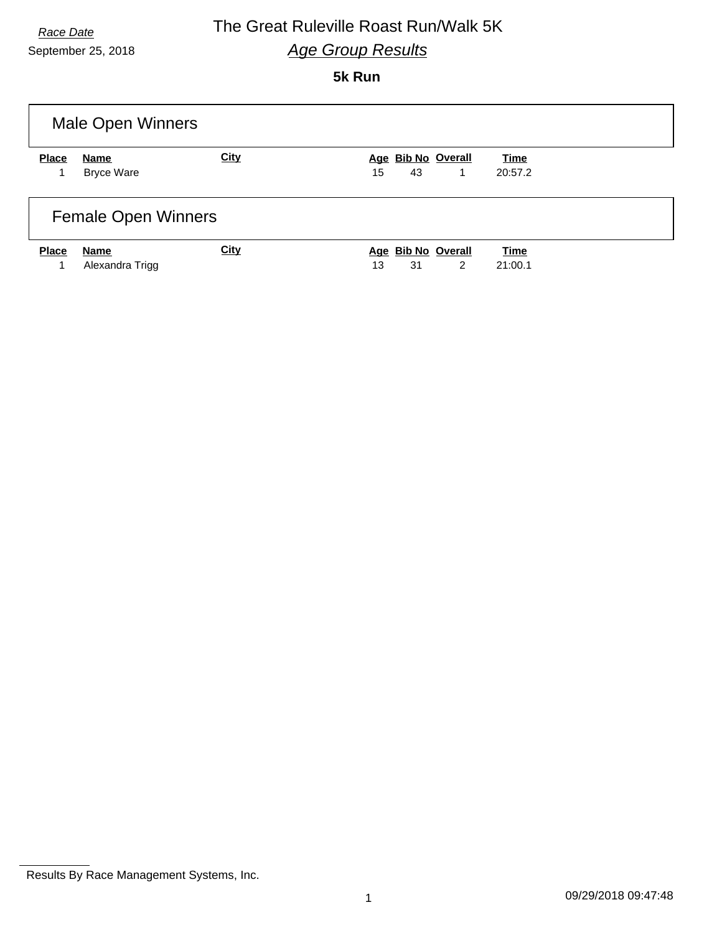### *Race Date* The Great Ruleville Roast Run/Walk 5K *Age Group Results*

**5k Run**

|              | <b>Male Open Winners</b>   |             |                                                  |                        |  |  |
|--------------|----------------------------|-------------|--------------------------------------------------|------------------------|--|--|
| <b>Place</b> | Name<br><b>Bryce Ware</b>  | <b>City</b> | Age Bib No Overall<br>15<br>43<br>1              | <b>Time</b><br>20:57.2 |  |  |
|              |                            |             |                                                  |                        |  |  |
|              | <b>Female Open Winners</b> |             |                                                  |                        |  |  |
| <b>Place</b> | Name<br>Alexandra Trigg    | <b>City</b> | Age Bib No Overall<br>31<br>$\overline{2}$<br>13 | <b>Time</b><br>21:00.1 |  |  |

Results By Race Management Systems, Inc.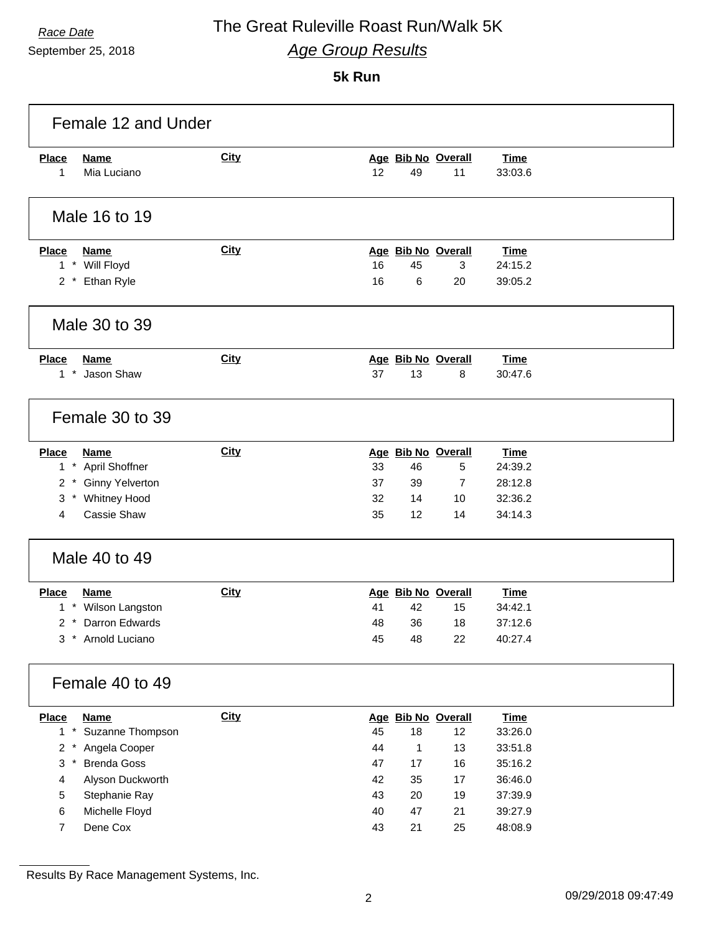September 25, 2018

## *Race Date* The Great Ruleville Roast Run/Walk 5K *Age Group Results*

**5k Run**

| <b>City</b>   |          |                      |                    | <b>Time</b>                                                                                            |                                          |
|---------------|----------|----------------------|--------------------|--------------------------------------------------------------------------------------------------------|------------------------------------------|
|               | 12       | 49                   | 11                 | 33:03.6                                                                                                |                                          |
|               |          |                      |                    |                                                                                                        |                                          |
| <b>City</b>   |          |                      |                    | <b>Time</b>                                                                                            |                                          |
|               |          | 45                   | 3                  | 24:15.2                                                                                                |                                          |
|               |          |                      |                    |                                                                                                        |                                          |
|               |          |                      |                    |                                                                                                        |                                          |
| <b>City</b>   |          |                      |                    | <b>Time</b>                                                                                            |                                          |
|               | 37       | 13                   | 8                  | 30:47.6                                                                                                |                                          |
|               |          |                      |                    |                                                                                                        |                                          |
| <b>City</b>   |          |                      |                    | <b>Time</b>                                                                                            |                                          |
|               | 33       | 46                   | 5                  | 24:39.2                                                                                                |                                          |
|               | 37       | 39                   | 7                  |                                                                                                        |                                          |
|               |          |                      |                    |                                                                                                        |                                          |
|               |          |                      |                    |                                                                                                        |                                          |
| Male 40 to 49 |          |                      |                    |                                                                                                        |                                          |
|               |          |                      |                    |                                                                                                        |                                          |
| <b>City</b>   |          |                      | Age Bib No Overall | <b>Time</b>                                                                                            |                                          |
|               | 41       | 42                   | 15                 | 34:42.1                                                                                                |                                          |
|               | 48       | 36                   | 18                 | 37:12.6                                                                                                |                                          |
|               | 45       | 48                   | 22                 | 40:27.4                                                                                                |                                          |
|               |          |                      |                    |                                                                                                        |                                          |
| <b>City</b>   |          |                      | Age Bib No Overall | <b>Time</b>                                                                                            |                                          |
|               | 45       | $18$                 | 12                 | 33:26.0                                                                                                |                                          |
|               | 44       | $\mathbf{1}$         | 13                 | 33:51.8                                                                                                |                                          |
|               | 47       | 17                   | 16                 | 35:16.2                                                                                                |                                          |
|               | 42       | 35                   | 17                 | 36:46.0                                                                                                |                                          |
|               | 43<br>40 | 20<br>47             | 19<br>21           | 37:39.9<br>39:27.9                                                                                     |                                          |
|               |          | 16<br>16<br>32<br>35 | 6<br>14<br>12      | Age Bib No Overall<br>Age Bib No Overall<br>20<br>Age Bib No Overall<br>Age Bib No Overall<br>10<br>14 | 39:05.2<br>28:12.8<br>32:36.2<br>34:14.3 |

Results By Race Management Systems, Inc.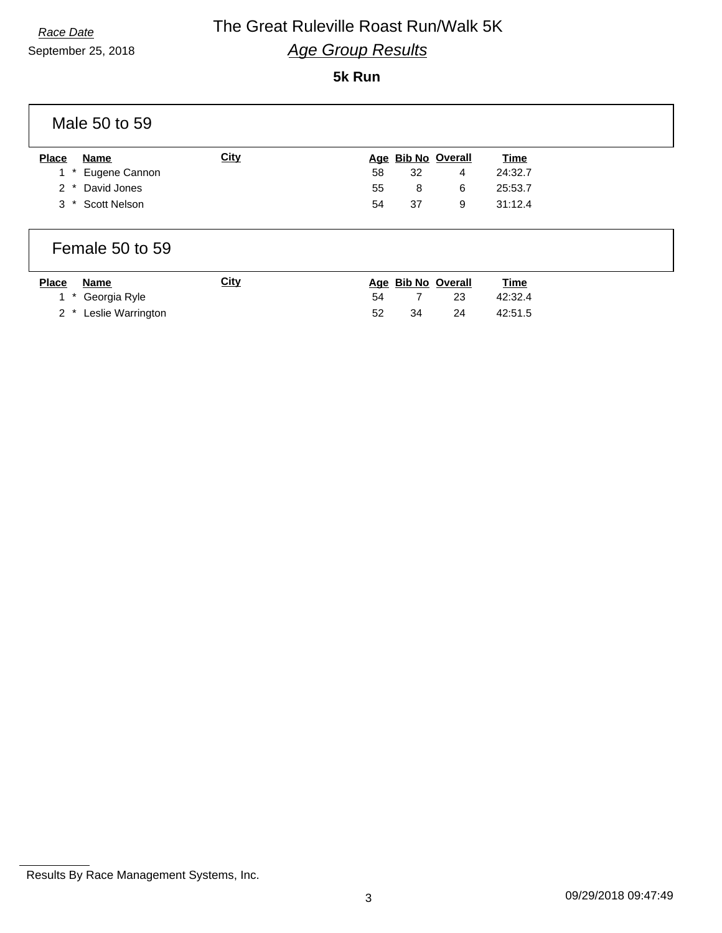## *Race Date* The Great Ruleville Roast Run/Walk 5K *Age Group Results*

#### **5k Run**

|              | Male 50 to 59     |             |    |    |                    |             |
|--------------|-------------------|-------------|----|----|--------------------|-------------|
| <b>Place</b> | Name              | <b>City</b> |    |    | Age Bib No Overall | <b>Time</b> |
|              | 1 * Eugene Cannon |             | 58 | 32 | 4                  | 24:32.7     |
| $2^*$        | David Jones       |             | 55 | 8  | 6                  | 25:53.7     |
| $3^*$        | Scott Nelson      |             | 54 | 37 | 9                  | 31:12.4     |
|              |                   |             |    |    |                    |             |

#### Female 50 to 59

| <b>Place</b> | Name                  | <u>City</u> |     |    | Age Bib No Overall | <u>Time</u> |
|--------------|-----------------------|-------------|-----|----|--------------------|-------------|
|              | 1 * Georgia Ryle      |             | 54  |    | -23                | 42:32.4     |
|              | 2 * Leslie Warrington |             | -52 | 34 | 24                 | 42:51.5     |

Results By Race Management Systems, Inc.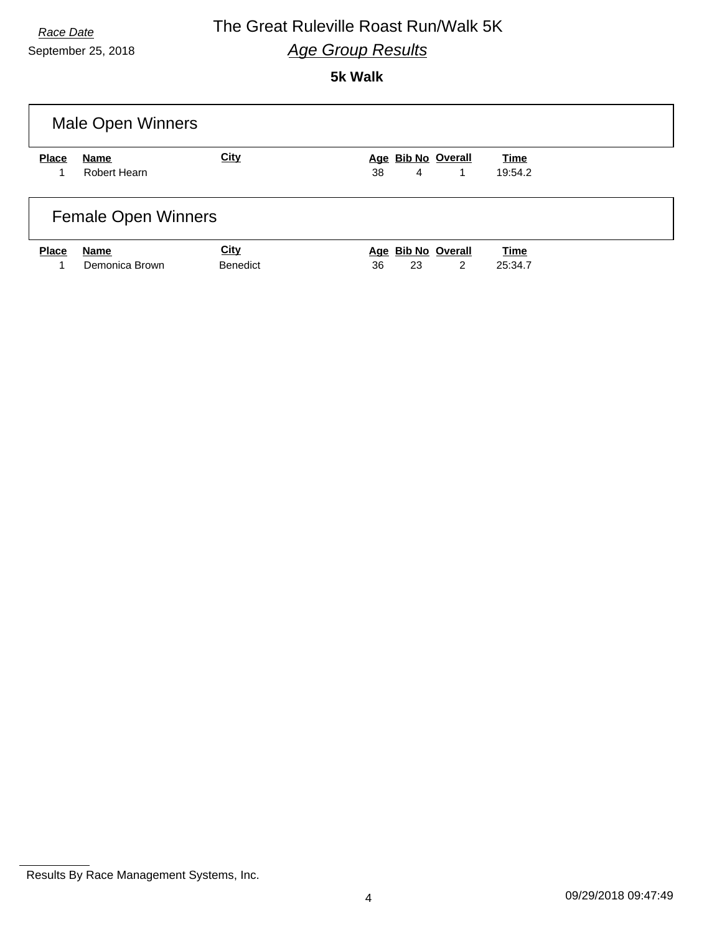### *Race Date* The Great Ruleville Roast Run/Walk 5K *Age Group Results*

#### **5k Walk**

|              | <b>Male Open Winners</b>   |                                |                                     |                 |  |  |
|--------------|----------------------------|--------------------------------|-------------------------------------|-----------------|--|--|
| <b>Place</b> | Name<br>Robert Hearn       | <b>City</b>                    | Age Bib No Overall<br>4<br>38<br>1  | Time<br>19:54.2 |  |  |
|              | <b>Female Open Winners</b> |                                |                                     |                 |  |  |
| <b>Place</b> | Name<br>Demonica Brown     | <b>City</b><br><b>Benedict</b> | Age Bib No Overall<br>2<br>36<br>23 | Time<br>25:34.7 |  |  |

Results By Race Management Systems, Inc.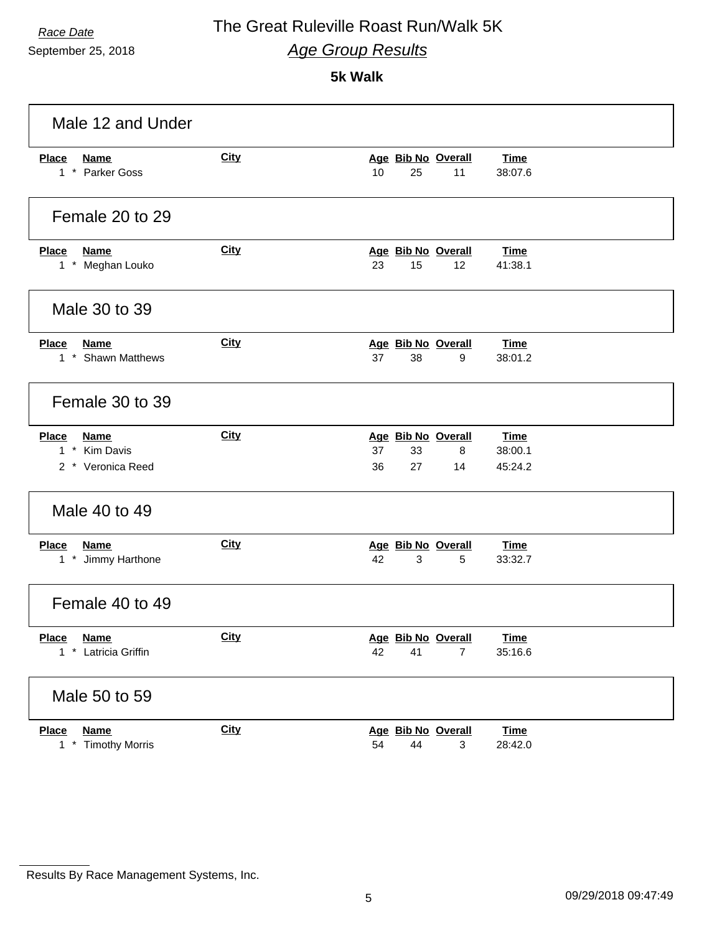September 25, 2018

### *Race Date* The Great Ruleville Roast Run/Walk 5K *Age Group Results*

**5k Walk**

| Male 12 and Under                                                 |             |                                                       |                                   |
|-------------------------------------------------------------------|-------------|-------------------------------------------------------|-----------------------------------|
| <b>Name</b><br><b>Place</b><br>1 * Parker Goss                    | <b>City</b> | Age Bib No Overall<br>10<br>25<br>11                  | <b>Time</b><br>38:07.6            |
| Female 20 to 29                                                   |             |                                                       |                                   |
| <b>Place</b><br>Name<br>1 * Meghan Louko                          | <b>City</b> | Age Bib No Overall<br>23<br>15<br>12                  | Time<br>41:38.1                   |
| Male 30 to 39                                                     |             |                                                       |                                   |
| <b>Place</b><br><b>Name</b><br>1 * Shawn Matthews                 | City        | Age Bib No Overall<br>38<br>37<br>9                   | <b>Time</b><br>38:01.2            |
| Female 30 to 39                                                   |             |                                                       |                                   |
| <b>Place</b><br><b>Name</b><br>1 * Kim Davis<br>2 * Veronica Reed | <b>City</b> | Age Bib No Overall<br>37<br>33<br>8<br>36<br>27<br>14 | <b>Time</b><br>38:00.1<br>45:24.2 |
| Male 40 to 49                                                     |             |                                                       |                                   |
| <b>Place</b><br><b>Name</b><br>1 * Jimmy Harthone                 | City        | Age Bib No Overall<br>42<br>3<br>5                    | <b>Time</b><br>33:32.7            |
| Female 40 to 49                                                   |             |                                                       |                                   |
| <b>Place</b><br><b>Name</b><br>* Latricia Griffin<br>$\mathbf{1}$ | <b>City</b> | Age Bib No Overall<br>42<br>41<br>$\overline{7}$      | <b>Time</b><br>35:16.6            |
| Male 50 to 59                                                     |             |                                                       |                                   |
| <b>Place</b><br><b>Name</b><br><b>Timothy Morris</b><br>$1*$      | <b>City</b> | Age Bib No Overall<br>54<br>44<br>3                   | <b>Time</b><br>28:42.0            |

Results By Race Management Systems, Inc.